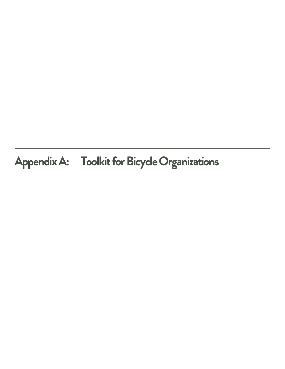# **Appendix A: Toolkit for Bicycle Organizations**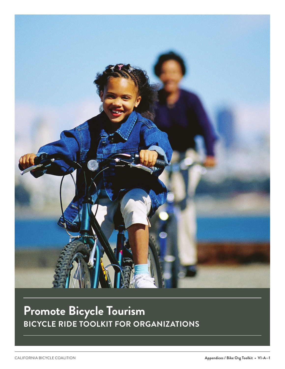

# **Promote Bicycle Tourism BICYCLE RIDE TOOLKIT FOR ORGANIZATIONS**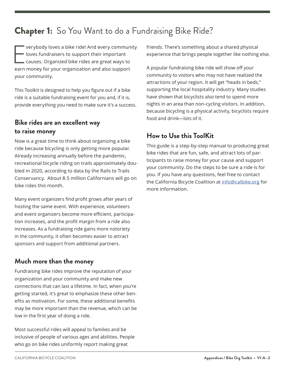# Chapter 1:So You Want to do a Fundraising Bike Ride?

E verybody loves a bike ride! And every community loves fundraisers to support their important causes. Organized bike rides are great ways to earn money for your organization and also support your community.

This Toolkit is designed to help you figure out if a bike ride is a suitable fundraising event for you and, if it is, provide everything you need to make sure it's a success.

# **Bike rides are an excellent way to raise money**

Now is a great time to think about organizing a bike ride because bicycling is only getting more popular. Already increasing annually before the pandemic, recreational bicycle riding on trails approximately doubled in 2020, according to data by the Rails to Trails Conservancy. About 8.5 million Californians will go on bike rides this month.

Many event organizers find profit grows after years of hosting the same event. With experience, volunteers and event organizers become more efficient, participation increases, and the profit margin from a ride also increases. As a fundraising ride gains more notoriety in the community, it often becomes easier to attract sponsors and support from additional partners.

# **Much more than the money**

Fundraising bike rides improve the reputation of your organization and your community and make new connections that can last a lifetime. In fact, when you're getting started, it's great to emphasize these other benefits as motivation. For some, these additional benefits may be more important than the revenue, which can be low in the first year of doing a ride.

Most successful rides will appeal to families and be inclusive of people of various ages and abilities. People who go on bike rides uniformly report making great

friends. There's something about a shared physical experience that brings people together like nothing else.

A popular fundraising bike ride will show off your community to visitors who may not have realized the attractions of your region. It will get "heads in beds," supporting the local hospitality industry. Many studies have shown that bicyclists also tend to spend more nights in an area than non-cycling visitors. In addition, because bicycling is a physical activity, bicyclists require food and drink—lots of it.

# **How to Use this ToolKit**

This guide is a step-by-step manual to producing great bike rides that are fun, safe, and attract lots of participants to raise money for your cause and support your community. Do the steps to be sure a ride is for you. If you have any questions, feel free to contact the California Bicycle Coalition at info@calbike.org for more information.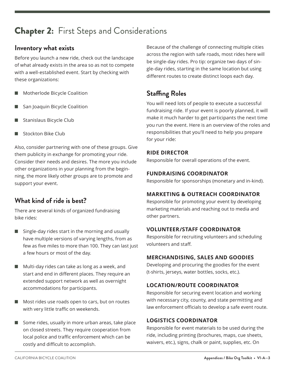# Chapter 2:First Steps and Considerations

### **Inventory what exists**

Before you launch a new ride, check out the landscape of what already exists in the area so as not to compete with a well-established event. Start by checking with these organizations:

- Motherlode Bicycle Coalition
- San Joaquin Bicycle Coalition
- Stanislaus Bicycle Club
- Stockton Bike Club

Also, consider partnering with one of these groups. Give them publicity in exchange for promoting your ride. Consider their needs and desires. The more you include other organizations in your planning from the beginning, the more likely other groups are to promote and support your event.

# **What kind of ride is best?**

There are several kinds of organized fundraising bike rides:

- $\blacksquare$  Single-day rides start in the morning and usually have multiple versions of varying lengths, from as few as five miles to more than 100. They can last just a few hours or most of the day.
- $\blacksquare$  Multi-day rides can take as long as a week, and start and end in different places. They require an extended support network as well as overnight accommodations for participants.
- $\blacksquare$  Most rides use roads open to cars, but on routes with very little traffic on weekends.
- $\blacksquare$  Some rides, usually in more urban areas, take place on closed streets. They require cooperation from local police and traffic enforcement which can be costly and difficult to accomplish.

Because of the challenge of connecting multiple cities across the region with safe roads, most rides here will be single-day rides. Pro tip: organize two days of single-day rides, starting in the same location but using different routes to create distinct loops each day.

# **Staffing Roles**

You will need lots of people to execute a successful fundraising ride. If your event is poorly planned, it will make it much harder to get participants the next time you run the event. Here is an overview of the roles and responsibilities that you'll need to help you prepare for your ride:

#### **RIDE DIRECTOR**

Responsible for overall operations of the event.

#### **FUNDRAISING COORDINATOR**

Responsible for sponsorships (monetary and in-kind).

#### **MARKETING & OUTREACH COORDINATOR**

Responsible for promoting your event by developing marketing materials and reaching out to media and other partners.

#### **VOLUNTEER/STAFF COORDINATOR**

Responsible for recruiting volunteers and scheduling volunteers and staff.

#### **MERCHANDISING, SALES AND GOODIES**

Developing and procuring the goodies for the event (t-shirts, jerseys, water bottles, socks, etc.).

#### **LOCATION/ROUTE COORDINATOR**

Responsible for securing event location and working with necessary city, county, and state permitting and law enforcement officials to develop a safe event route.

#### **LOGISTICS COORDINATOR**

Responsible for event materials to be used during the ride, including printing (brochures, maps, cue sheets, waivers, etc.), signs, chalk or paint, supplies, etc. On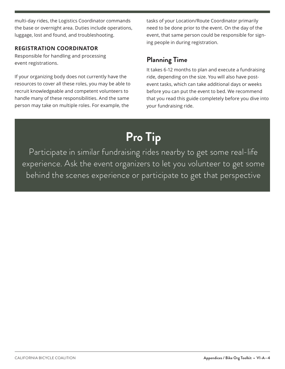multi-day rides, the Logistics Coordinator commands the base or overnight area. Duties include operations, luggage, lost and found, and troubleshooting.

#### **REGISTRATION COORDINATOR**

Responsible for handling and processing event registrations.

If your organizing body does not currently have the resources to cover all these roles, you may be able to recruit knowledgeable and competent volunteers to handle many of these responsibilities. And the same person may take on multiple roles. For example, the

tasks of your Location/Route Coordinator primarily need to be done prior to the event. On the day of the event, that same person could be responsible for signing people in during registration.

## **Planning Time**

It takes 6-12 months to plan and execute a fundraising ride, depending on the size. You will also have postevent tasks, which can take additional days or weeks before you can put the event to bed. We recommend that you read this guide completely before you dive into your fundraising ride.

# **Pro Tip**

Participate in similar fundraising rides nearby to get some real-life experience. Ask the event organizers to let you volunteer to get some behind the scenes experience or participate to get that perspective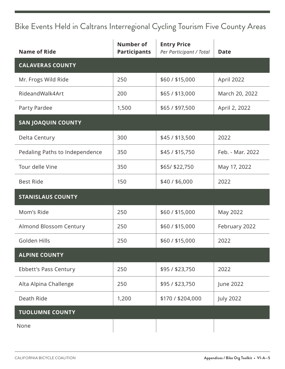# Bike Events Held in Caltrans Interregional Cycling Tourism Five County Areas

| <b>Name of Ride</b>            | <b>Number of</b><br><b>Participants</b> | <b>Entry Price</b><br>Per Participant / Total | <b>Date</b>      |
|--------------------------------|-----------------------------------------|-----------------------------------------------|------------------|
| <b>CALAVERAS COUNTY</b>        |                                         |                                               |                  |
| Mr. Frogs Wild Ride            | 250                                     | \$60 / \$15,000                               | April 2022       |
| RideandWalk4Art                | 200                                     | \$65/\$13,000                                 | March 20, 2022   |
| Party Pardee                   | 1,500                                   | \$65 / \$97,500                               | April 2, 2022    |
| <b>SAN JOAQUIN COUNTY</b>      |                                         |                                               |                  |
| Delta Century                  | 300                                     | \$45 / \$13,500                               | 2022             |
| Pedaling Paths to Independence | 350                                     | \$45 / \$15,750                               | Feb. - Mar. 2022 |
| Tour delle Vine                | 350                                     | \$65/ \$22,750                                | May 17, 2022     |
| <b>Best Ride</b>               | 150                                     | \$40/\$6,000                                  | 2022             |
| <b>STANISLAUS COUNTY</b>       |                                         |                                               |                  |
| Mom's Ride                     | 250                                     | \$60 / \$15,000                               | May 2022         |
| Almond Blossom Century         | 250                                     | \$60 / \$15,000                               | February 2022    |
| Golden Hills                   | 250                                     | \$60 / \$15,000                               | 2022             |
| <b>ALPINE COUNTY</b>           |                                         |                                               |                  |
| Ebbett's Pass Century          | 250                                     | \$95/\$23,750                                 | 2022             |
| Alta Alpina Challenge          | 250                                     | \$95 / \$23,750                               | June 2022        |
| Death Ride                     | 1,200                                   | \$170 / \$204,000                             | <b>July 2022</b> |
| <b>TUOLUMNE COUNTY</b>         |                                         |                                               |                  |
| None                           |                                         |                                               |                  |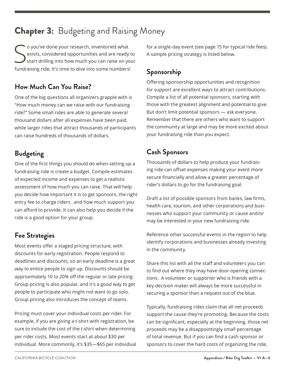# **Chapter 3:** Budgeting and Raising Money

S o you've done your research, inventoried what exists, considered opportunities and are ready to start drilling into how much you can raise on your fundraising ride. It's time to dive into some numbers!

# **How Much Can You Raise?**

One of the big questions all organizers grapple with is "How much money can we raise with our fundraising ride?" Some small rides are able to generate several thousand dollars after all expenses have been paid, while larger rides that attract thousands of participants can raise hundreds of thousands of dollars.

# **Budgeting**

One of the first things you should do when setting up a fundraising ride is create a budget. Compile estimates of expected income and expenses to get a realistic assessment of how much you can raise. That will help you decide how important it is to get sponsors, the right entry fee to charge riders , and how much support you can afford to provide. It can also help you decide if the ride is a good option for your group.

# **Fee Strategies**

Most events offer a staged pricing structure, with discounts for early registration. People respond to deadlines and discounts, so an early deadline is a great way to entice people to sign up. Discounts should be approximately 10 to 20% off the regular or late pricing. Group pricing is also popular, and it's a good way to get people to participate who might not want to go solo. Group pricing also introduces the concept of teams.

Pricing must cover your individual costs per rider. For example, if you are giving a t-shirt with registration, be sure to include the cost of the t-shirt when determining per rider costs. Most events start at about \$30 per individual. More commonly, it's \$35—\$65 per individual for a single-day event (see page 15 for typical ride fees). A sample pricing strategy is listed below.

# **Sponsorship**

Offering sponsorship opportunities and recognition for support are excellent ways to attract contributions. Compile a list of all potential sponsors, starting with those with the greatest alignment and potential to give. But don't limit potential sponsors — ask everyone. Remember that there are others who want to support the community at large and may be more excited about your fundraising ride than you expect.

# **Cash Sponsors**

Thousands of dollars to help produce your fundraising ride can offset expenses making your event more secure financially and allow a greater percentage of rider's dollars to go for the fundraising goal.

Draft a list of possible sponsors from banks, law firms, health care, tourism, and other corporations and businesses who support your community or cause and/or may be interested in your new fundraising ride.

Reference other successful events in the region to help identify corporations and businesses already investing in the community.

Share this list with all the staff and volunteers you can to find out where they may have door-opening connections. A volunteer or supporter who is friends with a key decision maker will always be more successful in securing a sponsor than a request out of the blue.

Typically, fundraising rides claim that all net proceeds support the cause they're promoting. Because the costs can be significant, especially at the beginning, those net proceeds may be a disappointingly small percentage of total revenue. But if you can find a cash sponsor or sponsors to cover the hard costs of organizing the ride,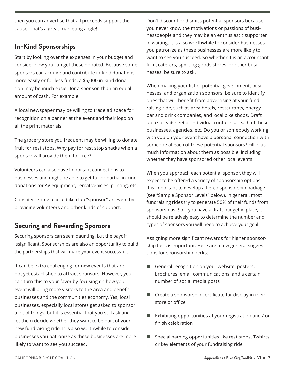then you can advertise that all proceeds support the cause. That's a great marketing angle!

## **In-Kind Sponsorships**

Start by looking over the expenses in your budget and consider how you can get these donated. Because some sponsors can acquire and contribute in-kind donations more easily or for less funds, a \$5,000 in-kind donation may be much easier for a sponsor than an equal amount of cash. For example:

A local newspaper may be willing to trade ad space for recognition on a banner at the event and their logo on all the print materials.

The grocery store you frequent may be willing to donate fruit for rest stops. Why pay for rest stop snacks when a sponsor will provide them for free?

Volunteers can also have important connections to businesses and might be able to get full or partial in-kind donations for AV equipment, rental vehicles, printing, etc.

Consider letting a local bike club "sponsor" an event by providing volunteers and other kinds of support.

# **Securing and Rewarding Sponsors**

Securing sponsors can seem daunting, but the payoff issignificant. Sponsorships are also an opportunity to build the partnerships that will make your event successful.

It can be extra challenging for new events that are not yet established to attract sponsors. However, you can turn this to your favor by focusing on how your event will bring more visitors to the area and benefit businesses and the communities economy. Yes, local businesses, especially local stores get asked to sponsor a lot of things, but it is essential that you still ask and let them decide whether they want to be part of your new fundraising ride. It is also worthwhile to consider businesses you patronize as these businesses are more likely to want to see you succeed.

Don't discount or dismiss potential sponsors because you never know the motivations or passions of businesspeople and they may be an enthusiastic supporter in waiting. It is also worthwhile to consider businesses you patronize as these businesses are more likely to want to see you succeed. So whether it is an accountant firm, caterers, sporting goods stores, or other businesses, be sure to ask.

When making your list of potential government, businesses, and organization sponsors, be sure to identify ones that will benefit from advertising at your fundraising ride, such as area hotels, restaurants, energy bar and drink companies, and local bike shops. Draft up a spreadsheet of individual contacts at each of these businesses, agencies, etc. Do you or somebody working with you on your event have a personal connection with someone at each of these potential sponsors? Fill in as much information about them as possible, including whether they have sponsored other local events.

When you approach each potential sponsor, they will expect to be offered a variety of sponsorship options. It is important to develop a tiered sponsorship package (see "Sample Sponsor Levels" below). In general, most fundraising rides try to generate 50% of their funds from sponsorships. So if you have a draft budget in place, it should be relatively easy to determine the number and types of sponsors you will need to achieve your goal.

Assigning more significant rewards for higher sponsorship tiers is important. Here are a few general suggestions for sponsorship perks:

- General recognition on your website, posters, brochures, email communications, and a certain number of social media posts
- Create a sponsorship certificate for display in their store or office
- Exhibiting opportunities at your registration and / or finish celebration
- Special naming opportunities like rest stops, T-shirts or key elements of your fundraising ride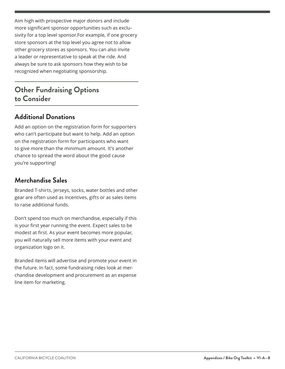Aim high with prospective major donors and include more significant sponsor opportunities such as exclusivity for a top level sponsor.For example, if one grocery store sponsors at the top level you agree not to allow other grocery stores as sponsors. You can also invite a leader or representative to speak at the ride. And always be sure to ask sponsors how they wish to be recognized when negotiating sponsorship.

# **Other Fundraising Options to Consider**

# **Additional Donations**

Add an option on the registration form for supporters who can't participate but want to help. Add an option on the registration form for participants who want to give more than the minimum amount. It's another chance to spread the word about the good cause you're supporting!

### **Merchandise Sales**

Branded T-shirts, jerseys, socks, water bottles and other gear are often used as incentives, gifts or as sales items to raise additional funds.

Don't spend too much on merchandise, especially if this is your first year running the event. Expect sales to be modest at first. As your event becomes more popular, you will naturally sell more items with your event and organization logo on it.

Branded items will advertise and promote your event in the future. In fact, some fundraising rides look at merchandise development and procurement as an expense line item for marketing.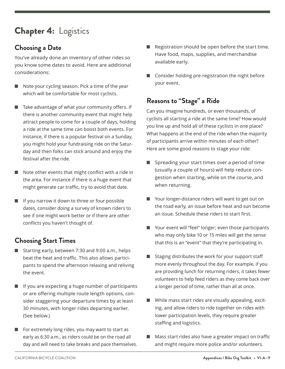# Chapter 4:Logistics

# **Choosing a Date**

You've already done an inventory of other rides so you know some dates to avoid. Here are additional considerations:

- $\blacksquare$  Note your cycling season. Pick a time of the year which will be comfortable for most cyclists.
- Take advantage of what your community offers. If there is another community event that might help attract people to come for a couple of days, holding a ride at the same time can boost both events. For instance, if there is a popular festival on a Sunday, you might hold your fundraising ride on the Saturday and then folks can stick around and enjoy the festival after the ride.
- $\blacksquare$  Note other events that might conflict with a ride in the area. For instance if there is a huge event that might generate car traffic, try to avoid that date.
- $\blacksquare$  If you narrow it down to three or four possible dates, consider doing a survey of known riders to see if one might work better or if there are other conflicts you haven't thought of.

# **Choosing Start Times**

- Starting early, between 7:30 and 9:00 a.m., helps beat the heat and traffic. This also allows participants to spend the afternoon relaxing and reliving the event.
- $\blacksquare$  If you are expecting a huge number of participants or are offering multiple route length options, consider staggering your departure times by at least 30 minutes, with longer rides departing earlier. (See below.)
- $\blacksquare$  For extremely long rides, you may want to start as early as 6:30 a.m., as riders could be on the road all day and will need to take breaks and pace themselves.
- Registration should be open before the start time. Have food, maps, supplies, and merchandise available early.
- $\Box$  Consider holding pre-registration the night before your event.

# **Reasons to "Stage" a Ride**

Can you imagine hundreds, or even thousands, of cyclists all starting a ride at the same time? How would you line up and hold all of these cyclists in one place? What happens at the end of the ride when the majority of participants arrive within minutes of each other? Here are some good reasons to stage your ride:

- Spreading your start times over a period of time (usually a couple of hours) will help reduce congestion when starting, while on the course, and when returning.
- Your longer-distance riders will want to get out on the road early, an issue before heat and sun become an issue. Schedule these riders to start first.
- $\blacksquare$  Your event will "feel" longer; even those participants who may only bike 10 or 15 miles will get the sense that this is an "event" that they're participating in.
- Staging distributes the work for your support staff more evenly throughout the day. For example, if you are providing lunch for returning riders, it takes fewer volunteers to help feed riders as they come back over a longer period of time, rather than all at once.
- $\blacksquare$  While mass start rides are visually appealing, exciting, and allow riders to ride together on rides with lower participation levels, they require greater staffing and logistics.
- Mass start rides also have a greater impact on traffic and might require more police and/or volunteers.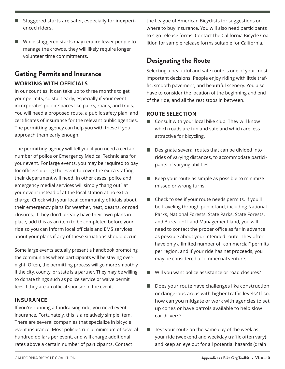- Staggered starts are safer, especially for inexperienced riders.
- $\blacksquare$  While staggered starts may require fewer people to manage the crowds, they will likely require longer volunteer time commitments.

# **Getting Permits and Insurance WORKING WITH OFFICIALS**

In our counties, it can take up to three months to get your permits, so start early, especially if your event incorporates public spaces like parks, roads, and trails. You will need a proposed route, a public safety plan, and certificates of insurance for the relevant public agencies. The permitting agency can help you with these if you approach them early enough.

The permitting agency will tell you if you need a certain number of police or Emergency Medical Technicians for your event. For large events, you may be required to pay for officers during the event to cover the extra staffing their department will need. In other cases, police and emergency medial services will simply "hang out" at your event instead of at the local station at no extra charge. Check with your local community officials about their emergency plans for weather, heat, deaths, or road closures. If they don't already have their own plans in place, add this as an item to be completed before your ride so you can inform local officials and EMS services about your plans if any of these situations should occur.

Some large events actually present a handbook promoting the communities where participants will be staying overnight. Often, the permitting process will go more smoothly if the city, county, or state is a partner. They may be willing to donate things such as police service or waive permit fees if they are an official sponsor of the event.

#### **INSURANCE**

If you're running a fundraising ride, you need event insurance. Fortunately, this is a relatively simple item. There are several companies that specialize in bicycle event insurance. Most policies run a minimum of several hundred dollars per event, and will charge additional rates above a certain number of participants. Contact

the League of American Bicyclists for suggestions on where to buy insurance. You will also need participants to sign release forms. Contact the California Bicycle Coalition for sample release forms suitable for California.

## **Designating the Route**

Selecting a beautiful and safe route is one of your most important decisions. People enjoy riding with little traffic, smooth pavement, and beautiful scenery. You also have to consider the location of the beginning and end of the ride, and all the rest stops in between.

#### **ROUTE SELECTION**

- $\Box$  Consult with your local bike club. They will know which roads are fun and safe and which are less attractive for bicycling.
- Designate several routes that can be divided into rides of varying distances, to accommodate participants of varying abilities.
- Keep your route as simple as possible to minimize missed or wrong turns.
- n Check to see if your route needs permits. If you'll be traveling through public land, including National Parks, National Forests, State Parks, State Forests, and Bureau of Land Management land, you will need to contact the proper office as far in advance as possible about your intended route. They often have only a limited number of "commercial" permits per region, and if your ride has net proceeds, you may be considered a commercial venture.
- Will you want police assistance or road closures?
- Does your route have challenges like construction or dangerous areas with higher traffic levels? If so, how can you mitigate or work with agencies to set up cones or have patrols available to help slow car drivers?
- $\blacksquare$  Test your route on the same day of the week as your ride (weekend and weekday traffic often vary) and keep an eye out for all potential hazards (drain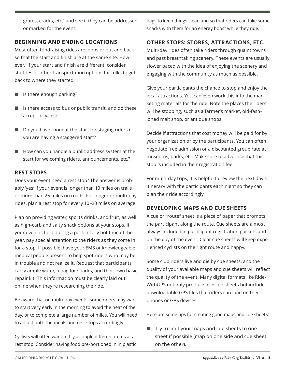grates, cracks, etc.) and see if they can be addressed or marked for the event.

#### **BEGINNING AND ENDING LOCATIONS**

Most often fundraising rides are loops or out and back so that the start and finish are at the same site. However, if your start and finish are different, consider shuttles or other transportation options for folks to get back to where they started.

- $\blacksquare$  Is there enough parking?
- $\blacksquare$  Is there access to bus or public transit, and do these accept bicycles?
- $\Box$  Do you have room at the start for staging riders if you are having a staggered start?
- $\blacksquare$  How can you handle a public address system at the start for welcoming riders, announcements, etc.?

#### **REST STOPS**

Does your event need a rest stop? The answer is probably 'yes' if your event is longer than 10 miles on trails or more than 25 miles on roads. For longer or multi-day rides, plan a rest stop for every 10–20 miles on average.

Plan on providing water, sports drinks, and fruit, as well as high-carb and salty snack options at your stops. If your event is held during a particularly hot time of the year, pay special attention to the riders as they come in for a stop. If possible, have your EMS or knowledgeable medical people present to help spot riders who may be in trouble and not realize it. Request that participants carry ample water, a bag for snacks, and their own basic repair kit. This information must be clearly laid out online when they're researching the ride.

Be aware that on multi-day events, some riders may want to start very early in the morning to avoid the heat of the day, or to complete a large number of miles. You will need to adjust both the meals and rest stops accordingly.

Cyclists will often want to try a couple different items at a rest stop. Consider having food pre-portioned in in plastic bags to keep things clean and so that riders can take some snacks with them for an energy boost while they ride.

#### **OTHER STOPS: STORES, ATTRACTIONS, ETC.**

Multi-day rides often take riders through quaint towns and past breathtaking scenery. These events are usually slower paced with the idea of enjoying the scenery and engaging with the community as much as possible.

Give your participants the chance to stop and enjoy the local attractions. You can even work this into the marketing materials for the ride. Note the places the riders will be stopping, such as a farmer's market, old-fashioned malt shop, or antique shops.

Decide if attractions that cost money will be paid for by your organization or by the participants. You can often negotiate free admission or a discounted group rate at museums, parks, etc. Make sure to advertise that this stop is included in their registration fee.

For multi-day trips, it is helpful to review the next day's itinerary with the participants each night so they can plan their ride accordingly.

#### **DEVELOPING MAPS AND CUE SHEETS**

A cue or "route" sheet is a piece of paper that prompts the participant along the route. Cue sheets are almost always included in participant registration packets and on the day of the event. Clear cue sheets will keep experienced cyclists on the right route and happy.

Some club riders live and die by cue sheets, and the quality of your available maps and cue sheets will reflect the quality of the event. Many digital formats like Ride-WithGPS not only produce nice cue sheets but include downloadable GPS files that riders can load on their phones or GPS devices.

Here are some tips for creating good maps and cue sheets:

 $\blacksquare$  Try to limit your maps and cue sheets to one sheet if possible (map on one side and cue sheet on the other).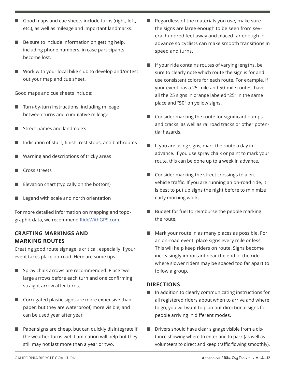- Good maps and cue sheets include turns (right, left, etc.), as well as mileage and important landmarks.
- $\blacksquare$  Be sure to include information on getting help, including phone numbers, in case participants become lost.
- $\blacksquare$  Work with your local bike club to develop and/or test out your map and cue sheet.

Good maps and cue sheets include:

- Turn-by-turn instructions, including mileage between turns and cumulative mileage
- Street names and landmarks
- $\blacksquare$  Indication of start, finish, rest stops, and bathrooms
- Warning and descriptions of tricky areas
- Cross streets
- Elevation chart (typically on the bottom)
- Legend with scale and north orientation

For more detailed information on mapping and topographic data, we recommend RideWithGPS.com.

#### **CRAFTING MARKINGS AND MARKING ROUTES**

Creating good route signage is critical, especially if your event takes place on-road. Here are some tips:

- $\blacksquare$  Spray chalk arrows are recommended. Place two large arrows before each turn and one confirming straight arrow after turns.
- $\blacksquare$  Corrugated plastic signs are more expensive than paper, but they are waterproof, more visible, and can be used year after year.
- Paper signs are cheap, but can quickly disintegrate if the weather turns wet. Lamination will help but they still may not last more than a year or two.
- Regardless of the materials you use, make sure the signs are large enough to be seen from several hundred feet away and placed far enough in advance so cyclists can make smooth transitions in speed and turns.
- If your ride contains routes of varying lengths, be sure to clearly note which route the sign is for and use consistent colors for each route. For example, if your event has a 25-mile and 50-mile routes, have all the 25 signs in orange labeled "25" in the same place and "50" on yellow signs.
- Consider marking the route for significant bumps and cracks, as well as railroad tracks or other potential hazards.
- If you are using signs, mark the route a day in advance. If you use spray chalk or paint to mark your route, this can be done up to a week in advance.
- $\Box$  Consider marking the street crossings to alert vehicle traffic. If you are running an on-road ride, it is best to put up signs the night before to minimize early morning work.
- Budget for fuel to reimburse the people marking the route.
- Mark your route in as many places as possible. For an on-road event, place signs every mile or less. This will help keep riders on route. Signs become increasingly important near the end of the ride where slower riders may be spaced too far apart to follow a group.

#### **DIRECTIONS**

- $\blacksquare$  In addition to clearly communicating instructions for all registered riders about when to arrive and where to go, you will want to plan out directional signs for people arriving in different modes.
- Drivers should have clear signage visible from a distance showing where to enter and to park (as well as volunteers to direct and keep traffic flowing smoothly).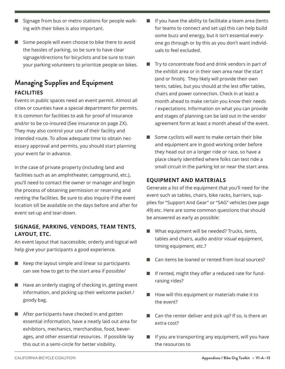- Signage from bus or metro stations for people walking with their bikes is also important.
- $\blacksquare$  Some people will even choose to bike there to avoid the hassles of parking, so be sure to have clear signage/directions for bicyclists and be sure to train your parking volunteers to prioritize people on bikes.

# **Managing Supplies and Equipment FACILITIES**

Events in public spaces need an event permit. Almost all cities or counties have a special department for permits. It is common for facilities to ask for proof of insurance and/or to be co-insured (See insurance on page ZX). They may also control your use of their facility and intended route. To allow adequate time to obtain necessary approval and permits, you should start planning your event far in advance.

In the case of private property (including land and facilities such as an amphitheater, campground, etc.), you'll need to contact the owner or manager and begin the process of obtaining permission or reserving and renting the facilities. Be sure to also inquire if the event location sill be available on the days before and after for event set-up and tear-down.

#### **SIGNAGE, PARKING, VENDORS, TEAM TENTS, LAYOUT, ETC.**

An event layout that isaccessible, orderly and logical will help give your participants a good experience.

- $\blacksquare$  Keep the layout simple and linear so participants can see how to get to the start area if possible/
- Have an orderly staging of checking in, getting event information, and picking up their welcome packet / goody bag.
- $\blacksquare$  After participants have checked in and gotten essential information, have a neatly laid out area for exhibitors, mechanics, merchandise, food, beverages, and other essential resources. If possible lay this out in a semi-circle for better visibility.
- If you have the ability to facilitate a team area (tents for teams to connect and set up) this can help build some buzz and energy, but it isn't essential everyone go through or by this as you don't want individuals to feel excluded.
- $\blacksquare$  Try to concentrate food and drink vendors in part of the exhibit area or in their own area near the start (and or finish). They likely will provide their own tents, tables, but you should at the lest offer tables, chairs and power connection. Check in at least a month ahead to make certain you know their needs / expectations. Information on what you can provide and stages of planning can be laid out in the vendor agreement form at least a month ahead of the event.
- Some cyclists will want to make certain their bike and equipment are in good working order before they head out on a longer ride or race, so have a place clearly identified where folks can test ride a small circuit in the parking lot or near the start area.

### **EQUIPMENT AND MATERIALS**

Generate a list of the equipment that you'll need for the event such as tables, chairs, bike racks, barriers, supplies for "Support And Gear" or "SAG" vehicles (see page 49) etc. Here are some common questions that should be answered as early as possible:

- What equipment will be needed? Trucks, tents, tables and chairs, audio and/or visual equipment, timing equipment, etc.?
- Can items be loaned or rented from local sources?
- If rented, might they offer a reduced rate for fundraising rides?
- How will this equipment or materials make it to the event?
- Can the renter deliver and pick up? If so, is there an extra cost?
- If you are transporting any equipment, will you have the resources to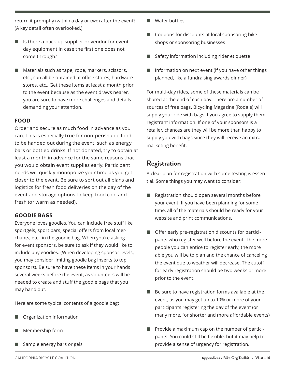return it promptly (within a day or two) after the event? (A key detail often overlooked.)

- $\blacksquare$  Is there a back-up supplier or vendor for eventday equipment in case the first one does not come through?
- $\blacksquare$  Materials such as tape, rope, markers, scissors, etc., can all be obtained at office stores, hardware stores, etc.. Get these items at least a month prior to the event because as the event draws nearer, you are sure to have more challenges and details demanding your attention.

#### **FOOD**

Order and secure as much food in advance as you can. This is especially true for non-perishable food to be handed out during the event, such as energy bars or bottled drinks. If not donated, try to obtain at least a month in advance for the same reasons that you would obtain event supplies early. Participant needs will quickly monopolize your time as you get closer to the event. Be sure to sort out all plans and logistics for fresh food deliveries on the day of the event and storage options to keep food cool and fresh (or warm as needed).

#### **GOODIE BAGS**

Everyone loves goodies. You can include free stuff like sportgels, sport bars, special offers from local merchants, etc., in the goodie bag. When you're asking for event sponsors, be sure to ask if they would like to include any goodies. (When developing sponsor levels, you may consider limiting goodie bag inserts to top sponsors). Be sure to have these items in your hands several weeks before the event, as volunteers will be needed to create and stuff the goodie bags that you may hand out.

Here are some typical contents of a goodie bag:

- Organization information
- Membership form
- Sample energy bars or gels
- Water bottles
- $\Box$  Coupons for discounts at local sponsoring bike shops or sponsoring businesses
- Safety information including rider etiquette
- $\blacksquare$  Information on next event (if you have other things planned, like a fundraising awards dinner)

For multi-day rides, some of these materials can be shared at the end of each day. There are a number of sources of free bags. Bicycling Magazine (Rodale) will supply your ride with bags if you agree to supply them registrant information. If one of your sponsors is a retailer, chances are they will be more than happy to supply you with bags since they will receive an extra marketing benefit.

#### **Registration**

A clear plan for registration with some testing is essential. Some things you may want to consider:

- Registration should open several months before your event. If you have been planning for some time, all of the materials should be ready for your website and print communications.
- $\blacksquare$  Offer early pre-registration discounts for participants who register well before the event. The more people you can entice to register early, the more able you will be to plan and the chance of canceling the event due to weather will decrease. The cutoff for early registration should be two weeks or more prior to the event.
- Be sure to have registration forms available at the event, as you may get up to 10% or more of your participants registering the day of the event (or many more, for shorter and more affordable events)
- Provide a maximum cap on the number of participants. You could still be flexible, but it may help to provide a sense of urgency for registration.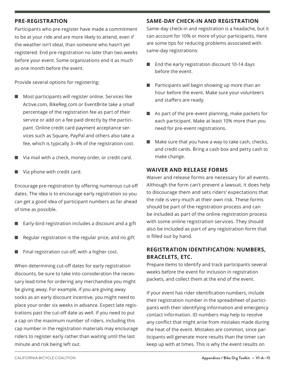#### **PRE-REGISTRATION**

Participants who pre-register have made a commitment to be at your ride and are more likely to attend, even if the weather isn't ideal, than someone who hasn't yet registered. End pre-registration no later than two weeks before your event. Some organizations end it as much as one month before the event.

Provide several options for registering:

- $\blacksquare$  Most participants will register online. Services like Active.com, BikeReg.com or EventBrite take a small percentage of the registration fee as part of their service or add on a fee paid directly by the participant. Online credit card payment acceptance services such as Square, PayPal and others also take a fee, which is typically 3–4% of the registration cost.
- $\blacksquare$  Via mail with a check, money order, or credit card.
- $\blacksquare$  Via phone with credit card.

Encourage pre-registration by offering numerous cut-off dates. The idea is to encourage early registration so you can get a good idea of participant numbers as far ahead of time as possible.

- Early-bird registration includes a discount and a gift
- n Regular registration is the regular price, and no gift
- $\blacksquare$  Final registration cut-off, with a higher cost.

When determining cut-off dates for early registration discounts, be sure to take into consideration the necessary lead-time for ordering any merchandise you might be giving away. For example, if you are giving away socks as an early discount incentive, you might need to place your order six weeks in advance. Expect late registrations past the cut-off date as well. If you need to put a cap on the maximum number of riders, including this cap number in the registration materials may encourage riders to register early rather than waiting until the last minute and risk being left out.

#### **SAME-DAY CHECK-IN AND REGISTRATION**

Same-day check-in and registration is a headache, but it can account for 10% or more of your participants. Here are some tips for reducing problems associated with same-day registrations:

- $\blacksquare$  End the early registration discount 10-14 days before the event.
- Participants will begin showing up more than an hour before the event. Make sure your volunteers and staffers are ready.
- $\blacksquare$  As part of the pre-event planning, make packets for each participant. Make at least 10% more than you need for pre-event registrations.
- $\blacksquare$  Make sure that you have a way to take cash, checks, and credit cards. Bring a cash box and petty cash to make change.

#### **WAIVER AND RELEASE FORMS**

Waiver and release forms are necessary for all events. Although the form can't prevent a lawsuit, it does help to discourage them and sets riders' expectations that the ride is very much at their own risk. These forms should be part of the registration process and can be included as part of the online registration process with some online registration services. They should also be included as part of any registration form that is filled out by hand.

#### **REGISTRATION IDENTIFICATION: NUMBERS, BRACELETS, ETC.**

Prepare items to identify and track participants several weeks before the event for inclusion in registration packets, and collect them at the end of the event.

If your event has rider identification numbers, include their registration number in the spreadsheet of participants with their identifying information and emergency contact information. ID numbers may help to resolve any conflict that might arise from mistakes made during the heat of the event. Mistakes are common, since participants will generate more results than the timer can keep up with at times. This is why the event results on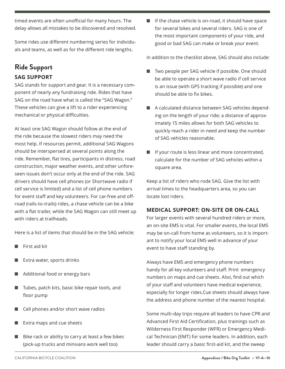timed events are often unofficial for many hours. The delay allows all mistakes to be discovered and resolved.

Some rides use different numbering series for individuals and teams, as well as for the different ride lengths.

# **Ride Support SAG SUPPORT**

SAG stands for support and gear. It is a necessary component of nearly any fundraising ride. Rides that have SAG on the road have what is called the "SAG Wagon." These vehicles can give a lift to a rider experiencing mechanical or physical difficulties.

At least one SAG Wagon should follow at the end of the ride because the slowest riders may need the most help. If resources permit, additional SAG Wagons should be interspersed at several points along the ride. Remember, flat tires, participants in distress, road construction, major weather events, and other unforeseen issues don't occur only at the end of the ride. SAG drivers should have cell phones (or Shortwave radio if cell service is limited) and a list of cell phone numbers for event staff and key volunteers. For car-free and offroad (rails-to-trails) rides, a chase vehicle can be a bike with a flat trailer, while the SAG Wagon can still meet up with riders at trailheads.

Here is a list of items that should be in the SAG vehicle:

- $\blacksquare$  First aid kit
- Extra water, sports drinks
- Additional food or energy bars
- $\blacksquare$  Tubes, patch kits, basic bike repair tools, and floor pump
- $\blacksquare$  Cell phones and/or short wave radios
- Extra maps and cue sheets
- $\blacksquare$  Bike rack or ability to carry at least a few bikes (pick-up trucks and minivans work well too)

 $\blacksquare$  If the chase vehicle is on-road, it should have space for several bikes and several riders. SAG is one of the most important components of your ride, and good or bad SAG can make or break your event.

In addition to the checklist above, SAG should also include:

- Two people per SAG vehicle if possible. One should be able to operate a short wave radio if cell service is an issue (with GPS tracking if possible) and one should be able to fix bikes.
- A calculated distance between SAG vehicles depending on the length of your ride; a distance of approximately 15 miles allows for both SAG vehicles to quickly reach a rider in need and keep the number of SAG vehicles reasonable.
- $\blacksquare$  If your route is less linear and more concentrated, calculate for the number of SAG vehicles within a square area.

Keep a list of riders who rode SAG. Give the list with arrival times to the headquarters area, so you can locate lost riders.

#### **MEDICAL SUPPORT: ON-SITE OR ON-CALL**

For larger events with several hundred riders or more, an on-site EMS is vital. For smaller events, the local EMS may be on-call from home as volunteers, so it is important to notify your local EMS well in advance of your event to have staff standing by.

Always have EMS and emergency phone numbers handy for all key volunteers and staff. Print emergency numbers on maps and cue sheets. Also, find out which of your staff and volunteers have medical experience, especially for longer rides.Cue sheets should always have the address and phone number of the nearest hospital.

Some multi-day trips require all leaders to have CPR and Advanced First Aid Certification, plus trainings such as Wilderness First Responder (WFR) or Emergency Medical Technician (EMT) for some leaders. In addition, each leader should carry a basic first-aid kit, and the sweep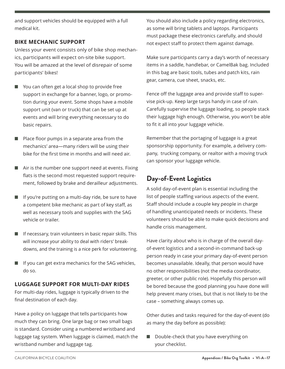and support vehicles should be equipped with a full medical kit.

#### **BIKE MECHANIC SUPPORT**

Unless your event consists only of bike shop mechanics, participants will expect on-site bike support. You will be amazed at the level of disrepair of some participants' bikes!

- You can often get a local shop to provide free support in exchange for a banner, logo, or promotion during your event. Some shops have a mobile support unit (van or truck) that can be set up at events and will bring everything necessary to do basic repairs.
- $\blacksquare$  Place floor pumps in a separate area from the mechanics' area—many riders will be using their bike for the first time in months and will need air.
- $\blacksquare$  Air is the number one support need at events. Fixing flats is the second most requested support requirement, followed by brake and derailleur adjustments.
- $\blacksquare$  If you're putting on a multi-day ride, be sure to have a competent bike mechanic as part of key staff, as well as necessary tools and supplies with the SAG vehicle or trailer.
- $\blacksquare$  If necessary, train volunteers in basic repair skills. This will increase your ability to deal with riders' breakdowns, and the training is a nice perk for volunteering.
- $\blacksquare$  If you can get extra mechanics for the SAG vehicles, do so.

#### **LUGGAGE SUPPORT FOR MULTI-DAY RIDES**

For multi-day rides, luggage is typically driven to the final destination of each day.

Have a policy on luggage that tells participants how much they can bring. One large bag or two small bags is standard. Consider using a numbered wristband and luggage tag system. When luggage is claimed, match the wristband number and luggage tag.

You should also include a policy regarding electronics, as some will bring tablets and laptops. Participants must package these electronics carefully, and should not expect staff to protect them against damage.

Make sure participants carry a day's worth of necessary items in a saddle, handlebar, or CamelBak bag. Included in this bag are basic tools, tubes and patch kits, rain gear, camera, cue sheet, snacks, etc.

Fence off the luggage area and provide staff to supervise pick-up. Keep large tarps handy in case of rain. Carefully supervise the luggage loading, so people stack their luggage high enough. Otherwise, you won't be able to fit it all into your luggage vehicle.

Remember that the portaging of luggage is a great sponsorship opportunity. For example, a delivery company, trucking company, or realtor with a moving truck can sponsor your luggage vehicle.

## **Day-of-Event Logistics**

A solid day-of-event plan is essential including the list of people staffing various aspects of the event. Staff should include a couple key people in charge of handling unanticipated needs or incidents. These volunteers should be able to make quick decisions and handle crisis management.

Have clarity about who is in charge of the overall dayof-event logistics and a second-in-command back-up person ready in case your primary day-of-event person becomes unavailable. Ideally, that person would have no other responsibilities (not the media coordinator, greeter, or other public role). Hopefully this person will be bored because the good planning you have done will help prevent many crises, but that is not likely to be the case – something always comes up.

Other duties and tasks required for the day-of-event (do as many the day before as possible):

 $\Box$  Double-check that you have everything on your checklist.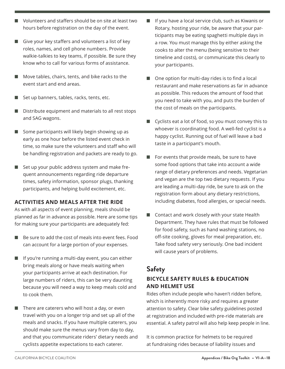- $\blacksquare$  Volunteers and staffers should be on site at least two hours before registration on the day of the event.
- $\Box$  Give your key staffers and volunteers a list of key roles, names, and cell phone numbers. Provide walkie-talkies to key teams, if possible. Be sure they know who to call for various forms of assistance.
- $\blacksquare$  Move tables, chairs, tents, and bike racks to the event start and end areas.
- $\blacksquare$  Set up banners, tables, racks, tents, etc.
- $\blacksquare$  Distribute equipment and materials to all rest stops and SAG wagons.
- $\Box$  Some participants will likely begin showing up as early as one hour before the listed event check in time, so make sure the volunteers and staff who will be handling registration and packets are ready to go.
- $\blacksquare$  Set up your public address system and make frequent announcements regarding ride departure times, safety information, sponsor plugs, thanking participants, and helping build excitement, etc.

#### **ACTIVITIES AND MEALS AFTER THE RIDE**

As with all aspects of event planning, meals should be planned as far in advance as possible. Here are some tips for making sure your participants are adequately fed:

- $\blacksquare$  Be sure to add the cost of meals into event fees. Food can account for a large portion of your expenses.
- $\blacksquare$  If you're running a multi-day event, you can either bring meals along or have meals waiting when your participants arrive at each destination. For large numbers of riders, this can be very daunting because you will need a way to keep meals cold and to cook them.
- $\blacksquare$  There are caterers who will host a day, or even travel with you on a longer trip and set up all of the meals and snacks. If you have multiple caterers, you should make sure the menus vary from day to day, and that you communicate riders' dietary needs and cyclists appetite expectations to each caterer.
- If you have a local service club, such as Kiwanis or Rotary, hosting your ride, be aware that your participants may be eating spaghetti multiple days in a row. You must manage this by either asking the cooks to alter the menu (being sensitive to their timeline and costs), or communicate this clearly to your participants.
- $\Box$  One option for multi-day rides is to find a local restaurant and make reservations as far in advance as possible. This reduces the amount of food that you need to take with you, and puts the burden of the cost of meals on the participants.
- Cyclists eat a lot of food, so you must convey this to whoever is coordinating food. A well-fed cyclist is a happy cyclist. Running out of fuel will leave a bad taste in a participant's mouth.
- For events that provide meals, be sure to have some food options that take into account a wide range of dietary preferences and needs. Vegetarian and vegan are the top two dietary requests. If you are leading a multi-day ride, be sure to ask on the registration form about any dietary restrictions, including diabetes, food allergies, or special needs.
- Contact and work closely with your state Health Department. They have rules that must be followed for food safety, such as hand washing stations, no off-site cooking, gloves for meal preparation, etc. Take food safety very seriously. One bad incident will cause years of problems.

### **Safety**

#### **BICYCLE SAFETY RULES & EDUCATION AND HELMET USE**

Rides often include people who haven't ridden before, which is inherently more risky and requires a greater attention to safety. Clear bike safety guidelines posted at registration and included with pre-ride materials are essential. A safety patrol will also help keep people in line.

It is common practice for helmets to be required at fundraising rides because of liability issues and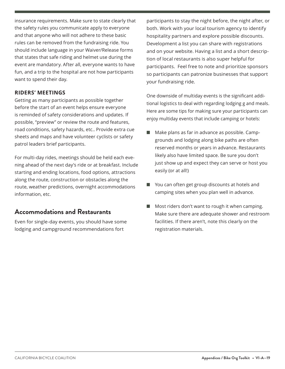insurance requirements. Make sure to state clearly that the safety rules you communicate apply to everyone and that anyone who will not adhere to these basic rules can be removed from the fundraising ride. You should include language in your Waiver/Release forms that states that safe riding and helmet use during the event are mandatory. After all, everyone wants to have fun, and a trip to the hospital are not how participants want to spend their day.

#### **RIDERS' MEETINGS**

Getting as many participants as possible together before the start of an event helps ensure everyone is reminded of safety considerations and updates. If possible, "preview" or review the route and features, road conditions, safety hazards, etc.. Provide extra cue sheets and maps and have volunteer cyclists or safety patrol leaders brief participants.

For multi-day rides, meetings should be held each evening ahead of the next day's ride or at breakfast. Include starting and ending locations, food options, attractions along the route, construction or obstacles along the route, weather predictions, overnight accommodations information, etc.

### **Accommodations and Restaurants**

Even for single-day events, you should have some lodging and campground recommendations fort

participants to stay the night before, the night after, or both. Work with your local tourism agency to identify hospitality partners and explore possible discounts. Development a list you can share with registrations and on your website. Having a list and a short description of local restaurants is also super helpful for participants. Feel free to note and prioritize sponsors so participants can patronize businesses that support your fundraising ride.

One downside of multiday events is the significant additional logistics to deal with regarding lodging g and meals. Here are some tips for making sure your participants can enjoy multiday events that include camping or hotels:

- Make plans as far in advance as possible. Campgrounds and lodging along bike paths are often reserved months or years in advance. Restaurants likely also have limited space. Be sure you don't just show up and expect they can serve or host you easily (or at all!)
- You can often get group discounts at hotels and camping sites when you plan well in advance.
- Most riders don't want to rough it when camping. Make sure there are adequate shower and restroom facilities. If there aren't, note this clearly on the registration materials.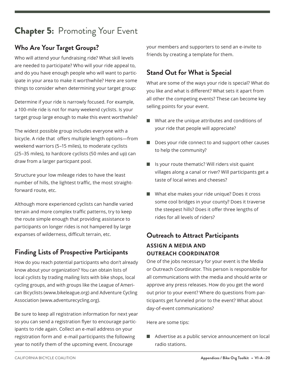# Chapter 5:Promoting Your Event

# **Who Are Your Target Groups?**

Who will attend your fundraising ride? What skill levels are needed to participate? Who will your ride appeal to, and do you have enough people who will want to participate in your area to make it worthwhile? Here are some things to consider when determining your target group:

Determine if your ride is narrowly focused. For example, a 100-mile ride is not for many weekend cyclists. Is your target group large enough to make this event worthwhile?

The widest possible group includes everyone with a bicycle. A ride that offers multiple length options—from weekend warriors (5–15 miles), to moderate cyclists (25–35 miles), to hardcore cyclists (50 miles and up) can draw from a larger particpant pool.

Structure your low mileage rides to have the least number of hills, the lightest traffic, the most straightforward route, etc.

Although more experienced cyclists can handle varied terrain and more complex traffic patterns, try to keep the route simple enough that providing assistance to participants on longer rides is not hampered by large expanses of wilderness, difficult terrain, etc.

# **Finding Lists of Prospective Participants**

How do you reach potential participants who don't already know about your organization? You can obtain lists of local cyclists by trading mailing lists with bike shops, local cycling groups, and with groups like the League of American Bicyclists (www.bikeleague.org) and Adventure Cycling Association (www.adventurecycling.org).

Be sure to keep all registration information for next year so you can send a registration flyer to encourage participants to ride again. Collect an e-mail address on your registration form and e-mail participants the following year to notify them of the upcoming event. Encourage

your members and supporters to send an e-invite to friends by creating a template for them.

# **Stand Out for What is Special**

What are some of the ways your ride is special? What do you like and what is different? What sets it apart from all other the competing events? These can become key selling points for your event.

- $\blacksquare$  What are the unique attributes and conditions of your ride that people will appreciate?
- $\blacksquare$  Does your ride connect to and support other causes to help the community?
- $\blacksquare$  Is your route thematic? Will riders visit quaint villages along a canal or river? Will participants get a taste of local wines and cheeses?
- $\blacksquare$  What else makes your ride unique? Does it cross some cool bridges in your county? Does it traverse the steepest hills? Does it offer three lengths of rides for all levels of riders?

# **Outreach to Attract Participants ASSIGN A MEDIA AND**

# **OUTREACH COORDINATOR**

One of the jobs necessary for your event is the Media or Outreach Coordinator. This person is responsible for all communications with the media and should write or approve any press releases. How do you get the word out prior to your event? Where do questions from participants get funneled prior to the event? What about day-of-event communications?

Here are some tips:

 $\blacksquare$  Advertise as a public service announcement on local radio stations.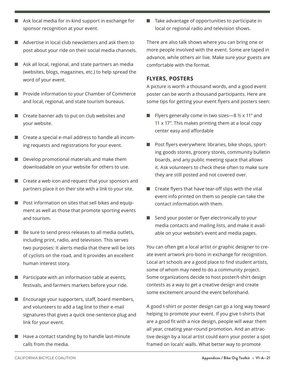- $\blacksquare$  Ask local media for in-kind support in exchange for sponsor recognition at your event.
- $\blacksquare$  Advertise in local club newsletters and ask them to post about your ride on their social media channels.
- $\blacksquare$  Ask all local, regional, and state partners an media (websites, blogs, magazines, etc.) to help spread the word of your event.
- Provide information to your Chamber of Commerce and local, regional, and state tourism bureaus.
- $\blacksquare$  Create banner ads to put on club websites and your website.
- Create a special e-mail address to handle all incoming requests and registrations for your event.
- $\blacksquare$  Develop promotional materials and make them downloadable on your website for others to use.
- $\blacksquare$  Create a web icon and request that your sponsors and partners place it on their site with a link to your site.
- $\blacksquare$  Post information on sites that sell bikes and equipment as well as those that promote sporting events and tourism.
- $\blacksquare$  Be sure to send press releases to all media outlets, including print, radio, and television. This serves two purposes: It alerts media that there will be lots of cyclists on the road, and it provides an excellent human interest story.
- $\blacksquare$  Participate with an information table at events, festivals, and farmers markets before your ride.
- $\blacksquare$  Encourage your supporters, staff, board members, and volunteers to add a tag line to their e-mail signatures that gives a quick one-sentence plug and link for your event.
- $\blacksquare$  Have a contact standing by to handle last-minute calls from the media.

 $\blacksquare$  Take advantage of opportunities to participate in local or regional radio and television shows.

There are also talk shows where you can bring one or more people involved with the event. Some are taped in advance, while others air live. Make sure your guests are comfortable with the format.

#### **FLYERS, POSTERS**

A picture is worth a thousand words, and a good event poster can be worth a thousand participants. Here are some tips for getting your event flyers and posters seen:

- Flyers generally come in two sizes—8  $\frac{1}{2}$  x 11" and 11 x 17". This makes printing them at a local copy center easy and affordable
- Post flyers everywhere: libraries, bike shops, sporting goods stores, grocery stores, community bulletin boards, and any public meeting space that allows it. Ask volunteers to check these often to make sure they are still posted and not covered over.
- $\blacksquare$  Create flyers that have tear-off slips with the vital event info printed on them so people can take the contact information with them.
- $\blacksquare$  Send your poster or flyer electronically to your media contacts and mailing lists, and make it available on your website's event and media pages.

You can often get a local artist or graphic designer to create event artwork pro-bono in exchange for recognition. Local art schools are a good place to find student artists, some of whom may need to do a community project. Some organizations decide to host poster/t-shirt design contests as a way to get a creative design and create some excitement around the event beforehand.

A good t-shirt or poster design can go a long way toward helping to promote your event. If you give t-shirts that are a good fit with a nice design, people will wear them all year, creating year-round promotion. And an attractive design by a local artist could earn your poster a spot framed on locals' walls. What better way to promote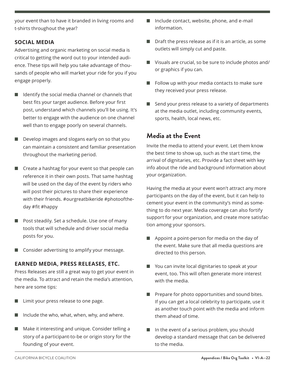your event than to have it branded in living rooms and t-shirts throughout the year?

#### **SOCIAL MEDIA**

Advertising and organic marketing on social media is critical to getting the word out to your intended audience. These tips will help you take advantage of thousands of people who will market your ride for you if you engage properly.

- $\blacksquare$  Identify the social media channel or channels that best fits your target audience. Before your first post, understand which channels you'll be using. It's better to engage with the audience on one channel well than to engage poorly on several channels.
- $\Box$  Develop images and slogans early on so that you can maintain a consistent and familiar presentation throughout the marketing period.
- $\blacksquare$  Create a hashtag for your event so that people can reference it in their own posts. That same hashtag will be used on the day of the event by riders who will post their pictures to share their experience with their friends. #ourgreatbikeride #photooftheday #fit #happy
- $\blacksquare$  Post steadily. Set a schedule. Use one of many tools that will schedule and driver social media posts for you.
- $\blacksquare$  Consider advertising to amplify your message.

#### **EARNED MEDIA, PRESS RELEASES, ETC.**

Press Releases are still a great way to get your event in the media. To attract and retain the media's attention, here are some tips:

- Limit your press release to one page.
- n Include the who, what, when, why, and where.
- $\blacksquare$  Make it interesting and unique. Consider telling a story of a participant-to-be or origin story for the founding of your event.
- $\blacksquare$  Include contact, website, phone, and e-mail information.
- Draft the press release as if it is an article, as some outlets will simply cut and paste.
- $\blacksquare$  Visuals are crucial, so be sure to include photos and/ or graphics if you can.
- $\blacksquare$  Follow up with your media contacts to make sure they received your press release.
- $\blacksquare$  Send your press release to a variety of departments at the media outlet, including community events, sports, health, local news, etc.

#### **Media at the Event**

Invite the media to attend your event. Let them know the best time to show up, such as the start time, the arrival of dignitaries, etc. Provide a fact sheet with key info about the ride and background information about your organization.

Having the media at your event won't attract any more participants on the day of the event, but it can help to cement your event in the community's mind as something to do next year. Media coverage can also fortify support for your organization, and create more satisfaction among your sponsors.

- $\blacksquare$  Appoint a point-person for media on the day of the event. Make sure that all media questions are directed to this person.
- $\blacksquare$  You can invite local dignitaries to speak at your event, too. This will often generate more interest with the media.
- Prepare for photo opportunities and sound bites. If you can get a local celebrity to participate, use it as another touch point with the media and inform them ahead of time.
- n In the event of a serious problem, you should develop a standard message that can be delivered to the media.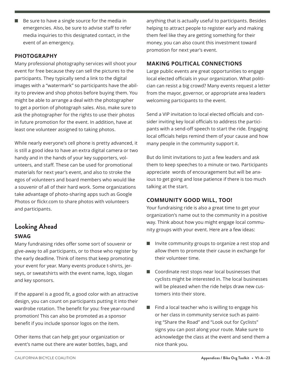$\blacksquare$  Be sure to have a single source for the media in emergencies. Also, be sure to advise staff to refer media inquiries to this designated contact, in the event of an emergency.

#### **PHOTOGRAPHY**

Many professional photography services will shoot your event for free because they can sell the pictures to the participants. They typically send a link to the digital images with a "watermark" so participants have the ability to preview and shop photos before buying them. You might be able to arrange a deal with the photographer to get a portion of photograph sales. Also, make sure to ask the photographer for the rights to use their photos in future promotion for the event. In addition, have at least one volunteer assigned to taking photos.

While nearly everyone's cell phone is pretty advanced, it is still a good idea to have an extra digital camera or two handy and in the hands of your key supporters, volunteers, and staff. These can be used for promotional materials for next year's event, and also to stroke the egos of volunteers and board members who would like a souvenir of all of their hard work. Some organizations take advantage of photo-sharing apps such as Google Photos or flickr.com to share photos with volunteers and participants.

# **Looking Ahead**

#### **SWAG**

Many fundraising rides offer some sort of souvenir or give-away to all participants, or to those who register by the early deadline. Think of items that keep promoting your event for year. Many events produce t-shirts, jerseys, or sweatshirts with the event name, logo, slogan and key sponsors.

If the apparel is a good fit, a good color with an attractive design, you can count on participants putting it into their wardrobe rotation. The benefit for you: free year-round promotion! This can also be promoted as a sponsor benefit if you include sponsor logos on the item.

Other items that can help get your organization or event's name out there are water bottles, bags, and anything that is actually useful to participants. Besides helping to attract people to register early and making them feel like they are getting something for their money, you can also count this investment toward promotion for next year's event.

#### **MAKING POLITICAL CONNECTIONS**

Large public events are great opportunities to engage local elected officials in your organization. What politician can resist a big crowd? Many events request a letter from the mayor, governor, or appropriate area leaders welcoming participants to the event.

Send a VIP invitation to local elected officials and consider inviting key local officials to address the participants with a send-off speech to start the ride. Engaging local officials helps remind them of your cause and how many people in the community support it.

But do limit invitations to just a few leaders and ask them to keep speeches to a minute or two. Participants appreciate words of encouragement but will be anxious to get going and lose patience if there is too much talking at the start.

#### **COMMUNITY GOOD WILL, TOO!**

Your fundraising ride is also a great time to get your organization's name out to the community in a positive way. Think about how you might engage local community groups with your event. Here are a few ideas:

- $\blacksquare$  Invite community groups to organize a rest stop and allow them to promote their cause in exchange for their volunteer time.
- $\Box$  Coordinate rest stops near local businesses that cyclists might be interested in. The local businesses will be pleased when the ride helps draw new customers into their store.
- $\blacksquare$  Find a local teacher who is willing to engage his or her class in community service such as painting "Share the Road" and "Look out for Cyclists" signs you can post along your route. Make sure to acknowledge the class at the event and send them a nice thank you.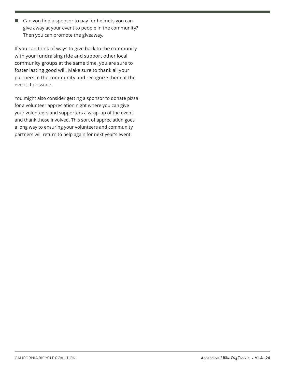$\Box$  Can you find a sponsor to pay for helmets you can give away at your event to people in the community? Then you can promote the giveaway.

If you can think of ways to give back to the community with your fundraising ride and support other local community groups at the same time, you are sure to foster lasting good will. Make sure to thank all your partners in the community and recognize them at the event if possible.

You might also consider getting a sponsor to donate pizza for a volunteer appreciation night where you can give your volunteers and supporters a wrap-up of the event and thank those involved. This sort of appreciation goes a long way to ensuring your volunteers and community partners will return to help again for next year's event.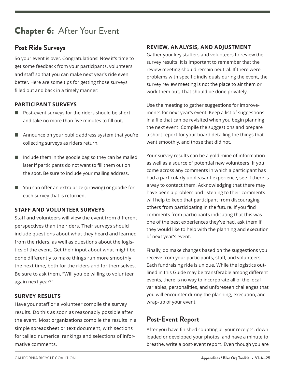# Chapter 6:After Your Event

### **Post Ride Surveys**

So your event is over. Congratulations! Now it's time to get some feedback from your participants, volunteers and staff so that you can make next year's ride even better. Here are some tips for getting those surveys filled out and back in a timely manner:

#### **PARTICIPANT SURVEYS**

- $\blacksquare$  Post-event surveys for the riders should be short and take no more than five minutes to fill out.
- **n** Announce on your public address system that you're collecting surveys as riders return.
- $\blacksquare$  Include them in the goodie bag so they can be mailed later if participants do not want to fill them out on the spot. Be sure to include your mailing address.
- $\blacksquare$  You can offer an extra prize (drawing) or goodie for each survey that is returned.

#### **STAFF AND VOLUNTEER SURVEYS**

Staff and volunteers will view the event from different perspectives than the riders. Their surveys should include questions about what they heard and learned from the riders, as well as questions about the logistics of the event. Get their input about what might be done differently to make things run more smoothly the next time, both for the riders and for themselves. Be sure to ask them, "Will you be willing to volunteer again next year?"

#### **SURVEY RESULTS**

Have your staff or a volunteer compile the survey results. Do this as soon as reasonably possible after the event. Most organizations compile the results in a simple spreadsheet or text document, with sections for tallied numerical rankings and selections of informative comments.

#### **REVIEW, ANALYSIS, AND ADJUSTMENT**

Gather your key staffers and volunteers to review the survey results. It is important to remember that the review meeting should remain neutral. If there were problems with specific individuals during the event, the survey review meeting is not the place to air them or work them out. That should be done privately.

Use the meeting to gather suggestions for improvements for next year's event. Keep a list of suggestions in a file that can be revisited when you begin planning the next event. Compile the suggestions and prepare a short report for your board detailing the things that went smoothly, and those that did not.

Your survey results can be a gold mine of information as well as a source of potential new volunteers. If you come across any comments in which a participant has had a particularly unpleasant experience, see if there is a way to contact them. Acknowledging that there may have been a problem and listening to their comments will help to keep that participant from discouraging others from participating in the future. If you find comments from participants indicating that this was one of the best experiences they've had, ask them if they would like to help with the planning and execution of next year's event.

Finally, do make changes based on the suggestions you receive from your participants, staff, and volunteers. Each fundraising ride is unique. While the logistics outlined in this Guide may be transferable among different events, there is no way to incorporate all of the local variables, personalities, and unforeseen challenges that you will encounter during the planning, execution, and wrap-up of your event.

### **Post-Event Report**

After you have finished counting all your receipts, downloaded or developed your photos, and have a minute to breathe, write a post-event report. Even though you are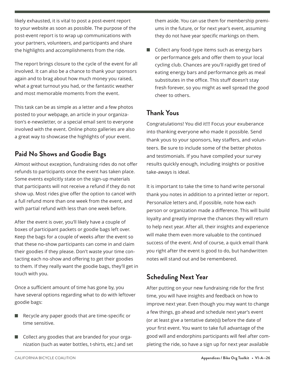likely exhausted, it is vital to post a post-event report to your website as soon as possible. The purpose of the post-event report is to wrap up communications with your partners, volunteers, and participants and share the highlights and accomplishments from the ride.

The report brings closure to the cycle of the event for all involved. It can also be a chance to thank your sponsors again and to brag about how much money you raised, what a great turnout you had, or the fantastic weather and most memorable moments from the event.

This task can be as simple as a letter and a few photos posted to your webpage, an article in your organization's e-newsletter, or a special email sent to everyone involved with the event. Online photo galleries are also a great way to showcase the highlights of your event.

# **Paid No Shows and Goodie Bags**

Almost without exception, fundraising rides do not offer refunds to participants once the event has taken place. Some events explicitly state on the sign-up materials that participants will not receive a refund if they do not show up. Most rides give offer the option to cancel with a full refund more than one week from the event, and with partial refund with less than one week before.

After the event is over, you'll likely have a couple of boxes of participant packets or goodie bags left over. Keep the bags for a couple of weeks after the event so that these no-show participants can come in and claim their goodies if they please. Don't waste your time contacting each no-show and offering to get their goodies to them. If they really want the goodie bags, they'll get in touch with you.

Once a sufficient amount of time has gone by, you have several options regarding what to do with leftover goodie bags:

- $\blacksquare$  Recycle any paper goods that are time-specific or time sensitive.
- $\Box$  Collect any goodies that are branded for your organization (such as water bottles, t-shirts, etc.) and set

them aside. You can use them for membership premiums in the future, or for next year's event, assuming they do not have year specific markings on them.

Collect any food-type items such as energy bars or performance gels and offer them to your local cycling club. Chances are you'll rapidly get tired of eating energy bars and performance gels as meal substitutes in the office. This stuff doesn't stay fresh forever, so you might as well spread the good cheer to others.

# **Thank Yous**

Congratulations! You did it!!! Focus your exuberance into thanking everyone who made it possible. Send thank yous to your sponsors, key staffers, and volunteers. Be sure to include some of the better photos and testimonials. If you have compiled your survey results quickly enough, including insights or positive take-aways is ideal.

It is important to take the time to hand write personal thank you notes in addition to a printed letter or report. Personalize letters and, if possible, note how each person or organization made a difference. This will build loyalty and greatly improve the chances they will return to help next year. After all, their insights and experience will make them even more valuable to the continued success of the event. And of course, a quick email thank you right after the event is good to do, but handwritten notes will stand out and be remembered.

# **Scheduling Next Year**

After putting on your new fundraising ride for the first time, you will have insights and feedback on how to improve next year. Even though you may want to change a few things, go ahead and schedule next year's event (or at least give a tentative date(s)) before the date of your first event. You want to take full advantage of the good will and endorphins participants will feel after completing the ride, so have a sign up for next year available